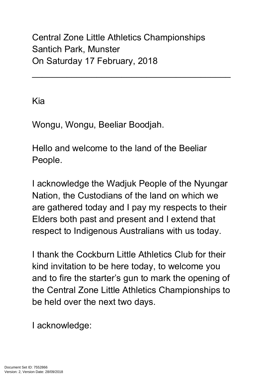Central Zone Little Athletics Championships Santich Park, Munster On Saturday 17 February, 2018

 $\mathcal{L}_\text{max}$  and  $\mathcal{L}_\text{max}$  and  $\mathcal{L}_\text{max}$  and  $\mathcal{L}_\text{max}$  and  $\mathcal{L}_\text{max}$ 

Kia

Wongu, Wongu, Beeliar Boodjah.

Hello and welcome to the land of the Beeliar People.

I acknowledge the Wadjuk People of the Nyungar Nation, the Custodians of the land on which we are gathered today and I pay my respects to their Elders both past and present and I extend that respect to Indigenous Australians with us today.

I thank the Cockburn Little Athletics Club for their kind invitation to be here today, to welcome you and to fire the starter's gun to mark the opening of the Central Zone Little Athletics Championships to be held over the next two days.

I acknowledge: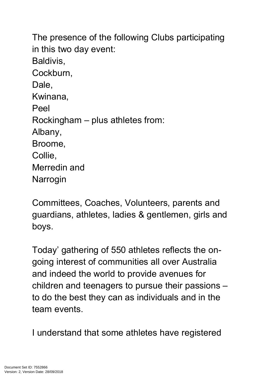The presence of the following Clubs participating in this two day event: Baldivis, Cockburn, Dale. Kwinana, Peel Rockingham – plus athletes from: Albany, Broome, Collie, Merredin and Narrogin

Committees, Coaches, Volunteers, parents and guardians, athletes, ladies & gentlemen, girls and boys.

Today' gathering of 550 athletes reflects the ongoing interest of communities all over Australia and indeed the world to provide avenues for children and teenagers to pursue their passions – to do the best they can as individuals and in the team events.

I understand that some athletes have registered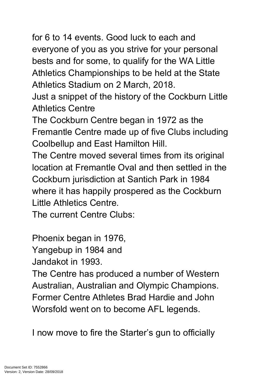for 6 to 14 events. Good luck to each and everyone of you as you strive for your personal bests and for some, to qualify for the WA Little Athletics Championships to be held at the State Athletics Stadium on 2 March, 2018.

Just a snippet of the history of the Cockburn Little Athletics Centre

The Cockburn Centre began in 1972 as the Fremantle Centre made up of five Clubs including Coolbellup and East Hamilton Hill.

The Centre moved several times from its original location at Fremantle Oval and then settled in the Cockburn jurisdiction at Santich Park in 1984 where it has happily prospered as the Cockburn Little Athletics Centre.

The current Centre Clubs:

Phoenix began in 1976,

Yangebup in 1984 and

Jandakot in 1993.

The Centre has produced a number of Western Australian, Australian and Olympic Champions. Former Centre Athletes Brad Hardie and John Worsfold went on to become AFL legends.

I now move to fire the Starter's gun to officially